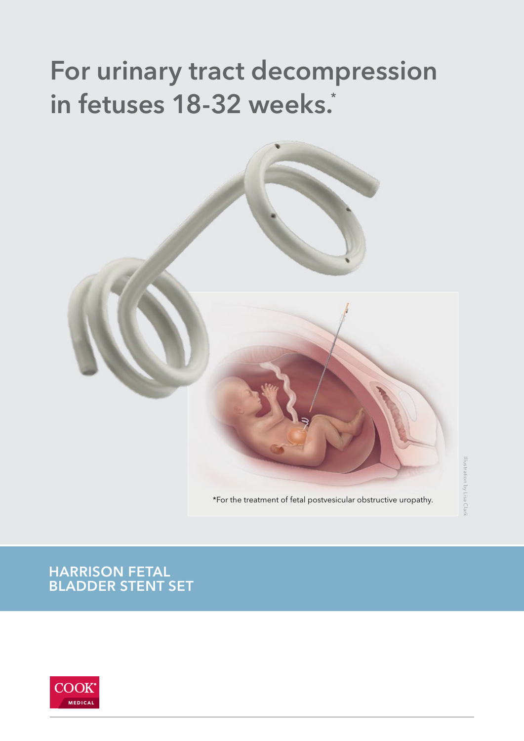## For urinary tract decompression in fetuses 18-32 weeks.\*



### BLADDER STENT SET HARRISON FETAL